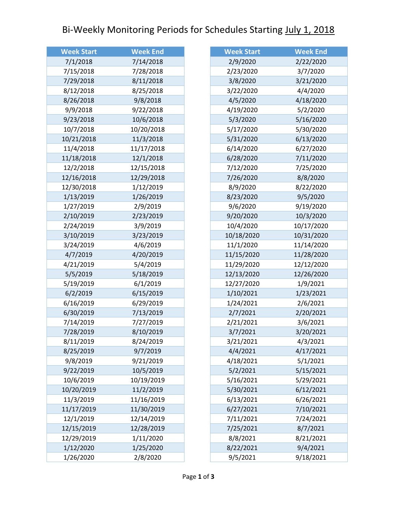## Bi-Weekly Monitoring Periods for Schedules Starting July 1, 2018

| <b>Week Start</b> | <b>Week End</b> |
|-------------------|-----------------|
| 7/1/2018          | 7/14/2018       |
| 7/15/2018         | 7/28/2018       |
| 7/29/2018         | 8/11/2018       |
| 8/12/2018         | 8/25/2018       |
| 8/26/2018         | 9/8/2018        |
| 9/9/2018          | 9/22/2018       |
| 9/23/2018         | 10/6/2018       |
| 10/7/2018         | 10/20/2018      |
| 10/21/2018        | 11/3/2018       |
| 11/4/2018         | 11/17/2018      |
| 11/18/2018        | 12/1/2018       |
| 12/2/2018         | 12/15/2018      |
| 12/16/2018        | 12/29/2018      |
| 12/30/2018        | 1/12/2019       |
| 1/13/2019         | 1/26/2019       |
| 1/27/2019         | 2/9/2019        |
| 2/10/2019         | 2/23/2019       |
| 2/24/2019         | 3/9/2019        |
| 3/10/2019         | 3/23/2019       |
| 3/24/2019         | 4/6/2019        |
| 4/7/2019          | 4/20/2019       |
| 4/21/2019         | 5/4/2019        |
| 5/5/2019          | 5/18/2019       |
| 5/19/2019         | 6/1/2019        |
| 6/2/2019          | 6/15/2019       |
| 6/16/2019         | 6/29/2019       |
| 6/30/2019         | 7/13/2019       |
| 7/14/2019         | 7/27/2019       |
| 7/28/2019         | 8/10/2019       |
| 8/11/2019         | 8/24/2019       |
| 8/25/2019         | 9/7/2019        |
| 9/8/2019          | 9/21/2019       |
| 9/22/2019         | 10/5/2019       |
| 10/6/2019         | 10/19/2019      |
| 10/20/2019        | 11/2/2019       |
| 11/3/2019         | 11/16/2019      |
| 11/17/2019        | 11/30/2019      |
| 12/1/2019         | 12/14/2019      |
| 12/15/2019        | 12/28/2019      |
| 12/29/2019        | 1/11/2020       |
| 1/12/2020         | 1/25/2020       |
| 1/26/2020         | 2/8/2020        |

| <b>Week Start</b> | <b>Week End</b> |
|-------------------|-----------------|
| 2/9/2020          | 2/22/2020       |
| 2/23/2020         | 3/7/2020        |
| 3/8/2020          | 3/21/2020       |
| 3/22/2020         | 4/4/2020        |
| 4/5/2020          | 4/18/2020       |
| 4/19/2020         | 5/2/2020        |
| 5/3/2020          | 5/16/2020       |
| 5/17/2020         | 5/30/2020       |
| 5/31/2020         | 6/13/2020       |
| 6/14/2020         | 6/27/2020       |
| 6/28/2020         | 7/11/2020       |
| 7/12/2020         | 7/25/2020       |
| 7/26/2020         | 8/8/2020        |
| 8/9/2020          | 8/22/2020       |
| 8/23/2020         | 9/5/2020        |
| 9/6/2020          | 9/19/2020       |
| 9/20/2020         | 10/3/2020       |
| 10/4/2020         | 10/17/2020      |
| 10/18/2020        | 10/31/2020      |
| 11/1/2020         | 11/14/2020      |
| 11/15/2020        | 11/28/2020      |
| 11/29/2020        | 12/12/2020      |
| 12/13/2020        | 12/26/2020      |
| 12/27/2020        | 1/9/2021        |
| 1/10/2021         | 1/23/2021       |
| 1/24/2021         | 2/6/2021        |
| 2/7/2021          | 2/20/2021       |
| 2/21/2021         | 3/6/2021        |
| 3/7/2021          | 3/20/2021       |
| 3/21/2021         | 4/3/2021        |
| 4/4/2021          | 4/17/2021       |
| 4/18/2021         | 5/1/2021        |
| 5/2/2021          | 5/15/2021       |
| 5/16/2021         | 5/29/2021       |
| 5/30/2021         | 6/12/2021       |
| 6/13/2021         | 6/26/2021       |
| 6/27/2021         | 7/10/2021       |
| 7/11/2021         | 7/24/2021       |
| 7/25/2021         | 8/7/2021        |
| 8/8/2021          | 8/21/2021       |
| 8/22/2021         | 9/4/2021        |
| 9/5/2021          | 9/18/2021       |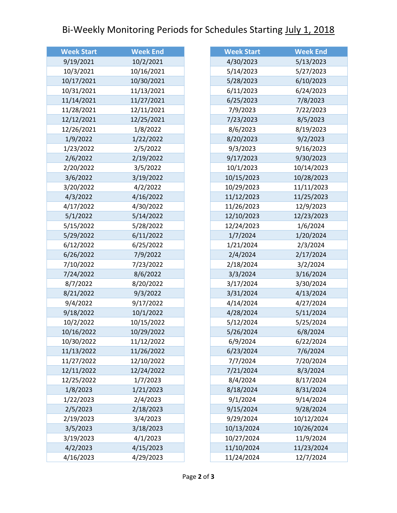## Bi-Weekly Monitoring Periods for Schedules Starting July 1, 2018

| <b>Week Start</b> | <b>Week End</b> |
|-------------------|-----------------|
| 9/19/2021         | 10/2/2021       |
| 10/3/2021         | 10/16/2021      |
| 10/17/2021        | 10/30/2021      |
| 10/31/2021        | 11/13/2021      |
| 11/14/2021        | 11/27/2021      |
| 11/28/2021        | 12/11/2021      |
| 12/12/2021        | 12/25/2021      |
| 12/26/2021        | 1/8/2022        |
| 1/9/2022          | 1/22/2022       |
| 1/23/2022         | 2/5/2022        |
| 2/6/2022          | 2/19/2022       |
| 2/20/2022         | 3/5/2022        |
| 3/6/2022          | 3/19/2022       |
| 3/20/2022         | 4/2/2022        |
| 4/3/2022          | 4/16/2022       |
| 4/17/2022         | 4/30/2022       |
| 5/1/2022          | 5/14/2022       |
| 5/15/2022         | 5/28/2022       |
| 5/29/2022         | 6/11/2022       |
| 6/12/2022         | 6/25/2022       |
| 6/26/2022         | 7/9/2022        |
| 7/10/2022         | 7/23/2022       |
| 7/24/2022         | 8/6/2022        |
| 8/7/2022          | 8/20/2022       |
| 8/21/2022         | 9/3/2022        |
| 9/4/2022          | 9/17/2022       |
| 9/18/2022         | 10/1/2022       |
| 10/2/2022         | 10/15/2022      |
| 10/16/2022        | 10/29/2022      |
| 10/30/2022        | 11/12/2022      |
| 11/13/2022        | 11/26/2022      |
| 11/27/2022        | 12/10/2022      |
| 12/11/2022        | 12/24/2022      |
| 12/25/2022        | 1/7/2023        |
| 1/8/2023          | 1/21/2023       |
| 1/22/2023         | 2/4/2023        |
| 2/5/2023          | 2/18/2023       |
| 2/19/2023         | 3/4/2023        |
| 3/5/2023          | 3/18/2023       |
| 3/19/2023         | 4/1/2023        |
| 4/2/2023          | 4/15/2023       |
| 4/16/2023         | 4/29/2023       |

| <b>Week Start</b> | <b>Week End</b> |
|-------------------|-----------------|
| 4/30/2023         | 5/13/2023       |
| 5/14/2023         | 5/27/2023       |
| 5/28/2023         | 6/10/2023       |
| 6/11/2023         | 6/24/2023       |
| 6/25/2023         | 7/8/2023        |
| 7/9/2023          | 7/22/2023       |
| 7/23/2023         | 8/5/2023        |
| 8/6/2023          | 8/19/2023       |
| 8/20/2023         | 9/2/2023        |
| 9/3/2023          | 9/16/2023       |
| 9/17/2023         | 9/30/2023       |
| 10/1/2023         | 10/14/2023      |
| 10/15/2023        | 10/28/2023      |
| 10/29/2023        | 11/11/2023      |
| 11/12/2023        | 11/25/2023      |
| 11/26/2023        | 12/9/2023       |
| 12/10/2023        | 12/23/2023      |
| 12/24/2023        | 1/6/2024        |
| 1/7/2024          | 1/20/2024       |
| 1/21/2024         | 2/3/2024        |
| 2/4/2024          | 2/17/2024       |
| 2/18/2024         | 3/2/2024        |
| 3/3/2024          | 3/16/2024       |
| 3/17/2024         | 3/30/2024       |
| 3/31/2024         | 4/13/2024       |
| 4/14/2024         | 4/27/2024       |
| 4/28/2024         | 5/11/2024       |
| 5/12/2024         | 5/25/2024       |
| 5/26/2024         | 6/8/2024        |
| 6/9/2024          | 6/22/2024       |
| 6/23/2024         | 7/6/2024        |
| 7/7/2024          | 7/20/2024       |
| 7/21/2024         | 8/3/2024        |
| 8/4/2024          | 8/17/2024       |
| 8/18/2024         | 8/31/2024       |
| 9/1/2024          | 9/14/2024       |
| 9/15/2024         | 9/28/2024       |
| 9/29/2024         | 10/12/2024      |
| 10/13/2024        | 10/26/2024      |
| 10/27/2024        | 11/9/2024       |
| 11/10/2024        | 11/23/2024      |
| 11/24/2024        | 12/7/2024       |